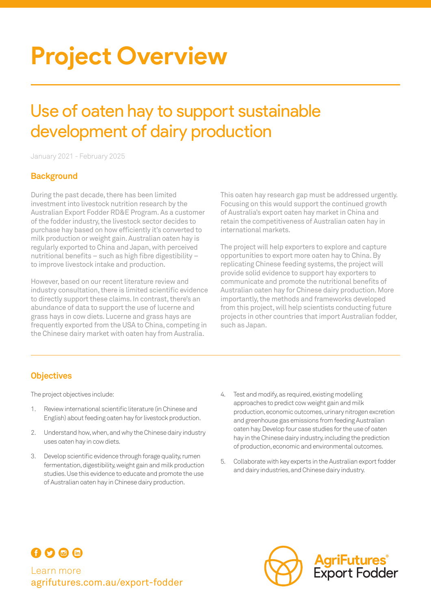# **Project Overview**

# Use of oaten hay to support sustainable development of dairy production

January 2021 - February 2025

### **Background**

During the past decade, there has been limited investment into livestock nutrition research by the Australian Export Fodder RD&E Program. As a customer of the fodder industry, the livestock sector decides to purchase hay based on how efficiently it's converted to milk production or weight gain. Australian oaten hay is regularly exported to China and Japan, with perceived nutritional benefits – such as high fibre digestibility – to improve livestock intake and production.

However, based on our recent literature review and industry consultation, there is limited scientific evidence to directly support these claims. In contrast, there's an abundance of data to support the use of lucerne and grass hays in cow diets. Lucerne and grass hays are frequently exported from the USA to China, competing in the Chinese dairy market with oaten hay from Australia.

This oaten hay research gap must be addressed urgently. Focusing on this would support the continued growth of Australia's export oaten hay market in China and retain the competitiveness of Australian oaten hay in international markets.

The project will help exporters to explore and capture opportunities to export more oaten hay to China. By replicating Chinese feeding systems, the project will provide solid evidence to support hay exporters to communicate and promote the nutritional benefits of Australian oaten hay for Chinese dairy production. More importantly, the methods and frameworks developed from this project, will help scientists conducting future projects in other countries that import Australian fodder, such as Japan.

# **Objectives**

The project objectives include:

- 1. Review international scientific literature (in Chinese and English) about feeding oaten hay for livestock production.
- 2. Understand how, when, and why the Chinese dairy industry uses oaten hay in cow diets.
- 3. Develop scientific evidence through forage quality, rumen fermentation, digestibility, weight gain and milk production studies. Use this evidence to educate and promote the use of Australian oaten hay in Chinese dairy production.
- 4. Test and modify, as required, existing modelling approaches to predict cow weight gain and milk production, economic outcomes, urinary nitrogen excretion and greenhouse gas emissions from feeding Australian oaten hay. Develop four case studies for the use of oaten hay in the Chinese dairy industry, including the prediction of production, economic and environmental outcomes.
- 5. Collaborate with key experts in the Australian export fodder and dairy industries, and Chinese dairy industry.